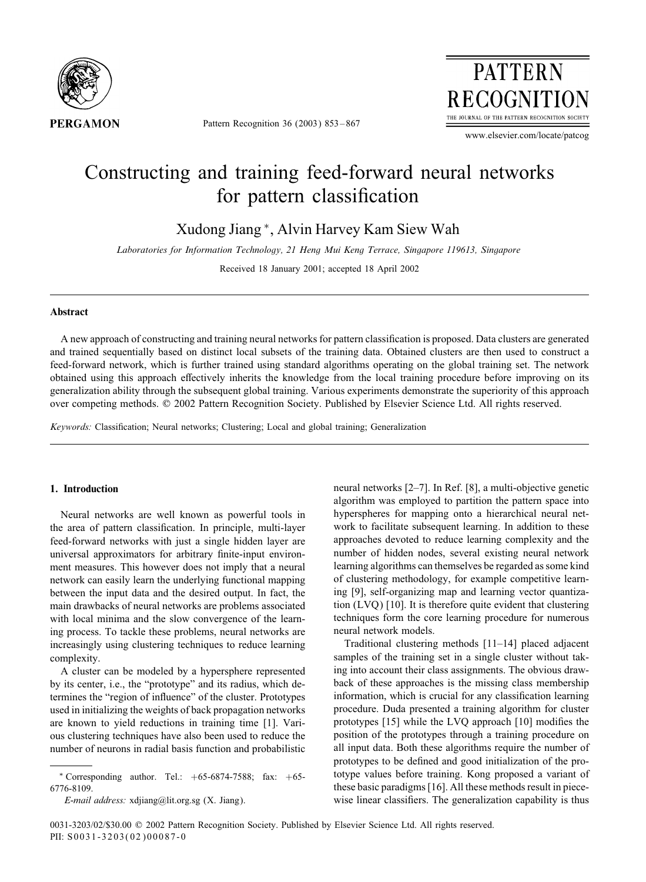

Pattern Recognition 36 (2003) 853 – 867



www.elsevier.com/locate/patcog

# Constructing and training feed-forward neural networks for pattern classification

Xudong Jiang <sup>∗</sup>, Alvin Harvey Kam Siew Wah

*Laboratories for Information Technology, 21 Heng Mui Keng Terrace, Singapore 119613, Singapore*

Received 18 January 2001; accepted 18 April 2002

### Abstract

A new approach of constructing and training neural networks for pattern classification is proposed. Data clusters are generated and trained sequentially based on distinct local subsets of the training data. Obtained clusters are then used to construct a feed-forward network, which is further trained using standard algorithms operating on the global training set. The network obtained using this approach effectively inherits the knowledge from the local training procedure before improving on its generalization ability through the subsequent global training. Various experiments demonstrate the superiority of this approach over competing methods. © 2002 Pattern Recognition Society. Published by Elsevier Science Ltd. All rights reserved.

*Keywords:* Classification; Neural networks; Clustering; Local and global training; Generalization

# 1. Introduction

Neural networks are well known as powerful tools in the area of pattern classification. In principle, multi-layer feed-forward networks with just a single hidden layer are universal approximators for arbitrary finite-input environment measures. This however does not imply that a neural network can easily learn the underlying functional mapping between the input data and the desired output. In fact, the main drawbacks of neural networks are problems associated with local minima and the slow convergence of the learning process. To tackle these problems, neural networks are increasingly using clustering techniques to reduce learning complexity.

A cluster can be modeled by a hypersphere represented by its center, i.e., the "prototype" and its radius, which determines the "region of inBuence" of the cluster. Prototypes used in initializing the weights of back propagation networks are known to yield reductions in training time [1]. Various clustering techniques have also been used to reduce the number of neurons in radial basis function and probabilistic

*E-mail address:* xdjiang@lit.org.sg (X. Jiang).

neural networks [2–7]. In Ref. [8], a multi-objective genetic algorithm was employed to partition the pattern space into hyperspheres for mapping onto a hierarchical neural network to facilitate subsequent learning. In addition to these approaches devoted to reduce learning complexity and the number of hidden nodes, several existing neural network learning algorithms can themselves be regarded as some kind of clustering methodology, for example competitive learning [9], self-organizing map and learning vector quantization (LVQ) [10]. It is therefore quite evident that clustering techniques form the core learning procedure for numerous neural network models.

Traditional clustering methods [11–14] placed adjacent samples of the training set in a single cluster without taking into account their class assignments. The obvious drawback of these approaches is the missing class membership information, which is crucial for any classification learning procedure. Duda presented a training algorithm for cluster prototypes  $[15]$  while the LVQ approach  $[10]$  modifies the position of the prototypes through a training procedure on all input data. Both these algorithms require the number of prototypes to be defined and good initialization of the prototype values before training. Kong proposeda variant of these basic paradigms [16]. All these methods result in piecewise linear classifiers. The generalization capability is thus

<sup>∗</sup> Corresponding author. Tel.: +65-6874-7588; fax: +65- 6776-8109.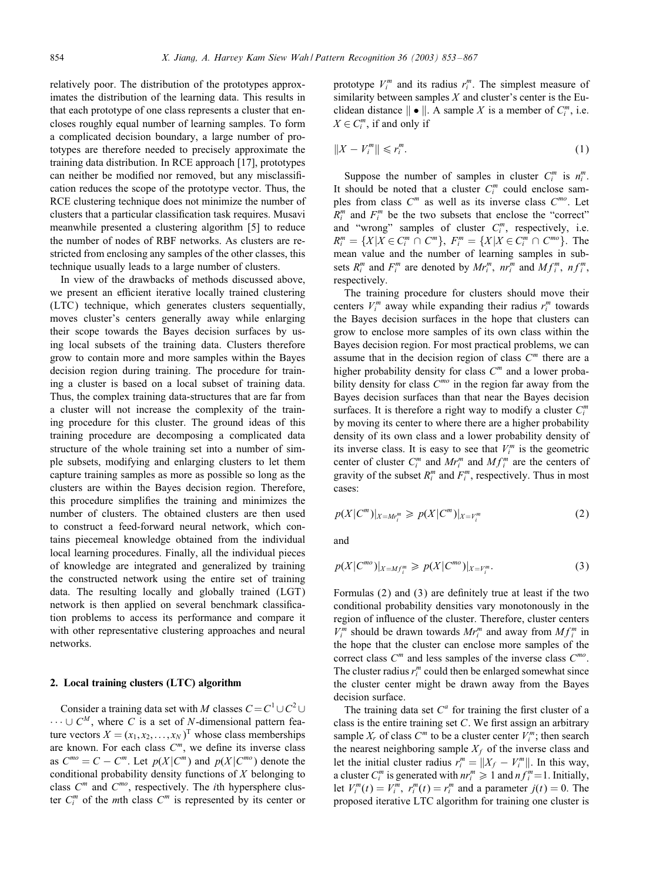relatively poor. The distribution of the prototypes approximates the distribution of the learning data. This results in that each prototype of one class represents a cluster that encloses roughly equal number of learning samples. To form a complicated decision boundary, a large number of prototypes are therefore needed to precisely approximate the training data distribution. In RCE approach [17], prototypes can neither be modified nor removed, but any misclassification reduces the scope of the prototype vector. Thus, the RCE clustering technique does not minimize the number of clusters that a particular classification task requires. Musavi meanwhile presented a clustering algorithm [5] to reduce the number of nodes of RBF networks. As clusters are restricted from enclosing any samples of the other classes, this technique usually leads to a large number of clusters.

In view of the drawbacks of methods discussed above, we present an efficient iterative locally trained clustering (LTC) technique, which generates clusters sequentially, moves cluster's centers generally away while enlarging their scope towards the Bayes decision surfaces by using local subsets of the training data. Clusters therefore grow to contain more andmore samples within the Bayes decision region during training. The procedure for training a cluster is based on a local subset of training data. Thus, the complex training data-structures that are far from a cluster will not increase the complexity of the training procedure for this cluster. The ground ideas of this training procedure are decomposing a complicated data structure of the whole training set into a number of simple subsets, modifying and enlarging clusters to let them capture training samples as more as possible so long as the clusters are within the Bayes decision region. Therefore, this procedure simplifies the training and minimizes the number of clusters. The obtained clusters are then used to construct a feed-forward neural network, which contains piecemeal knowledge obtained from the individual local learning procedures. Finally, all the individual pieces of knowledge are integrated and generalized by training the constructed network using the entire set of training data. The resulting locally and globally trained  $(LGT)$ network is then applied on several benchmark classification problems to access its performance and compare it with other representative clustering approaches and neural networks.

# 2. Local training clusters (LTC) algorithm

Consider a training data set with M classes  $C = C<sup>1</sup> \cup C<sup>2</sup> \cup$  $\cdots \cup C^M$ , where C is a set of N-dimensional pattern feature vectors  $X = (x_1, x_2, \dots, x_N)^T$  whose class memberships are known. For each class  $C^m$ , we define its inverse class as  $C^{mo} = C - C^m$ . Let  $p(X|C^m)$  and  $p(X|C^{mo})$  denote the conditional probability density functions of  $X$  belonging to class  $C^m$  and  $C^{mo}$ , respectively. The *i*th hypersphere cluster  $C_i^m$  of the *mth* class  $C^m$  is represented by its center or

prototype  $V_i^m$  and its radius  $r_i^m$ . The simplest measure of similarity between samples  $X$  and cluster's center is the Euclidean distance  $\| \bullet \|$ . A sample X is a member of  $C_i^m$ , i.e.  $X \in \mathbb{C}_i^m$ , if and only if

$$
||X - V_i^m|| \leqslant r_i^m. \tag{1}
$$

Suppose the number of samples in cluster  $C_i^m$  is  $n_i^m$ . It should be noted that a cluster  $C_i^m$  could enclose samples from class  $C^m$  as well as its inverse class  $C^{mo}$ . Let  $R_i^m$  and  $F_i^m$  be the two subsets that enclose the "correct" and "wrong" samples of cluster  $C_i^m$ , respectively, i.e.  $R_i^m = \{X | X \in C_i^m \cap C^m\}, F_i^m = \{X | X \in C_i^m \cap C^{mo}\}.$  The mean value and the number of learning samples in subsets  $R_i^m$  and  $F_i^m$  are denoted by  $Mr_i^m$ ,  $nr_i^m$  and  $Mf_i^m$ ,  $nf_i^m$ , respectively.

The training procedure for clusters should move their centers  $V_i^m$  away while expanding their radius  $r_i^m$  towards the Bayes decision surfaces in the hope that clusters can grow to enclose more samples of its own class within the Bayes decision region. For most practical problems, we can assume that in the decision region of class  $C<sup>m</sup>$  there are a higher probability density for class  $C<sup>m</sup>$  and a lower probability density for class  $C^{mo}$  in the region far away from the Bayes decision surfaces than that near the Bayes decision surfaces. It is therefore a right way to modify a cluster  $C_i^m$ by moving its center to where there are a higher probability density of its own class and a lower probability density of its inverse class. It is easy to see that  $V_i^m$  is the geometric center of cluster  $C_i^m$  and  $Mr_i^m$  and  $Mf_i^m$  are the centers of gravity of the subset  $R_i^m$  and  $F_i^m$ , respectively. Thus in most cases:

$$
p(X|C^m)|_{X=Mr_i^m} \geqslant p(X|C^m)|_{X=V_i^m}
$$
\n(2)

and

$$
p(X|C^{mo})|_{X=Mf_i^m} \geqslant p(X|C^{mo})|_{X=V_i^m}.
$$
\n(3)

Formulas  $(2)$  and  $(3)$  are definitely true at least if the two conditional probability densities vary monotonously in the region of influence of the cluster. Therefore, cluster centers  $V_i^m$  should be drawn towards  $Mr_i^m$  and away from  $Mf_i^m$  in the hope that the cluster can enclose more samples of the correct class  $C^m$  and less samples of the inverse class  $C^{m_0}$ . The cluster radius  $r_i^m$  could then be enlarged somewhat since the cluster center might be drawn away from the Bayes decision surface.

The training data set  $C^a$  for training the first cluster of a class is the entire training set  $C$ . We first assign an arbitrary sample  $X_r$  of class  $C^m$  to be a cluster center  $V_i^m$ ; then search the nearest neighboring sample  $X_f$  of the inverse class and let the initial cluster radius  $r_i^m = ||X_f - V_i^m||$ . In this way, a cluster  $C_i^m$  is generated with  $nr_i^m \geq 1$  and  $nf_i^m = 1$ . Initially, let  $V_i^m(t) = V_i^m$ ,  $r_i^m(t) = r_i^m$  and a parameter  $j(t) = 0$ . The proposed iterative LTC algorithm for training one cluster is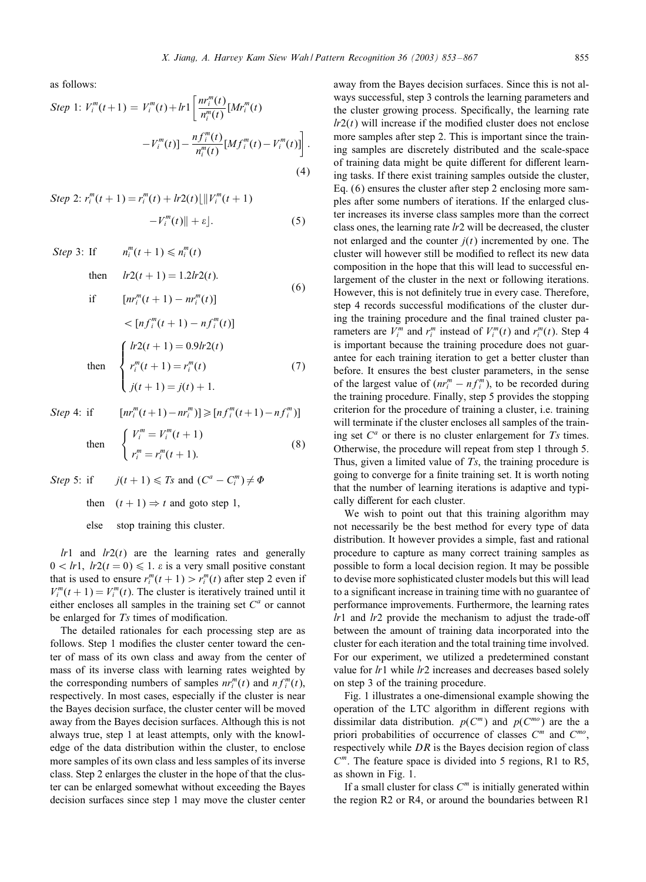Step 1: 
$$
V_i^m(t+1) = V_i^m(t) + lr1 \left[ \frac{nr_i^m(t)}{n_i^m(t)} [Mr_i^m(t) -V_i^m(t)] - \frac{n f_i^m(t)}{n_i^m(t)} [Mf_i^m(t) - V_i^m(t)] \right].
$$
 (4)

Step 2: 
$$
r_i^m(t+1) = r_i^m(t) + lr2(t) \lfloor ||V_i^m(t+1) - V_i^m(t) || + \varepsilon].
$$
 (5)

*Step* 3: If  $\sum_{i=1}^{m}(t+1) \leq n_i^{m}(t)$ then  $lr2(t + 1) = 1.2lr2(t)$ . if  $[nr_i^m(t+1) - nr_i^m(t)]$ 

$$
\langle [nf_i^m(t+1) - nf_i^m(t)]
$$
  
then  

$$
\begin{cases} h2(t+1) = 0.9hr2(t) \\ r_i^m(t+1) = r_i^m(t) \\ j(t+1) = j(t) + 1. \end{cases}
$$
 (7)

Step 4: if 
$$
[nr_i^m(t+1) - nr_i^m] \geq [nf_i^m(t+1) - nf_i^m]
$$

then 
$$
\begin{cases} V_i^m = V_i^m(t+1) \\ r_i^m = r_i^m(t+1). \end{cases}
$$
 (8)

*Step* 5: if  $j(t + 1) \le Ts$  and  $(C^a - C_i^m) \ne \Phi$ 

then  $(t + 1) \Rightarrow t$  and goto step 1,

else stop training this cluster:

 $l_1$  and  $l_2(t)$  are the learning rates and generally  $0 < lr1$ ,  $lr2(t = 0) \leq 1$ .  $\varepsilon$  is a very small positive constant that is used to ensure  $r_i^m(t + 1) > r_i^m(t)$  after step 2 even if  $V_i^m(t + 1) = V_i^m(t)$ . The cluster is iteratively trained until it either encloses all samples in the training set  $C^a$  or cannot be enlarged for *Ts* times of modification.

The detailed rationales for each processing step are as follows. Step 1 modifies the cluster center toward the center of mass of its own class and away from the center of mass of its inverse class with learning rates weighted by the corresponding numbers of samples  $nr_i^m(t)$  and  $nf_i^m(t)$ , respectively. In most cases, especially if the cluster is near the Bayes decision surface, the cluster center will be moved away from the Bayes decision surfaces. Although this is not always true, step 1 at least attempts, only with the knowledge of the data distribution within the cluster, to enclose more samples of its own class and less samples of its inverse class. Step 2 enlarges the cluster in the hope of that the cluster can be enlarged somewhat without exceeding the Bayes decision surfaces since step 1 may move the cluster center

away from the Bayes decision surfaces. Since this is not always successful, step 3 controls the learning parameters and the cluster growing process. Specifically, the learning rate  *will increase if the modified cluster does not enclose* more samples after step 2. This is important since the training samples are discretely distributed and the scale-space of training data might be quite different for different learning tasks. If there exist training samples outside the cluster, Eq. (6) ensures the cluster after step 2 enclosing more samples after some numbers of iterations. If the enlarged cluster increases its inverse class samples more than the correct class ones, the learning rate *lr*2 will be decreased, the cluster not enlarged and the counter  $j(t)$  incremented by one. The cluster will however still be modified to reflect its new data composition in the hope that this will lead to successful enlargement of the cluster in the next or following iterations. However, this is not definitely true in every case. Therefore, step 4 records successful modifications of the cluster during the training procedure and the final trained cluster parameters are  $V_i^m$  and  $r_i^m$  instead of  $V_i^m(t)$  and  $r_i^m(t)$ . Step 4 is important because the training procedure does not guarantee for each training iteration to get a better cluster than before. It ensures the best cluster parameters, in the sense of the largest value of  $(nr_i^m - nf_i^m)$ , to be recorded during the training procedure. Finally, step 5 provides the stopping criterion for the procedure of training a cluster, i.e. training will terminate if the cluster encloses all samples of the training set  $C^a$  or there is no cluster enlargement for  $Ts$  times. Otherwise, the procedure will repeat from step 1 through 5. Thus, given a limited value of *Ts*, the training procedure is going to converge for a finite training set. It is worth noting that the number of learning iterations is adaptive and typically different for each cluster.

We wish to point out that this training algorithm may not necessarily be the best method for every type of data distribution. It however provides a simple, fast and rational procedure to capture as many correct training samples as possible to form a local decision region. It may be possible to devise more sophisticated cluster models but this will lead to a significant increase in training time with no guarantee of performance improvements. Furthermore, the learning rates  *and*  $*lr*2$  *provide the mechanism to adjust the trade-off* between the amount of training data incorporated into the cluster for each iteration and the total training time involved. For our experiment, we utilized a predetermined constant value for *lr*1 while *lr*2 increases and decreases based solely on step 3 of the training procedure.

Fig. 1 illustrates a one-dimensional example showing the operation of the LTC algorithm in different regions with dissimilar data distribution.  $p(C^m)$  and  $p(C^{mo})$  are the a priori probabilities of occurrence of classes  $C^m$  and  $C^{mo}$ , respectively while *DR* is the Bayes decision region of class  $C^m$ . The feature space is divided into 5 regions, R1 to R5, as shown in Fig. 1.

If a small cluster for class  $C<sup>m</sup>$  is initially generated within the region  $R2$  or  $R4$ , or around the boundaries between  $R1$ 

(6)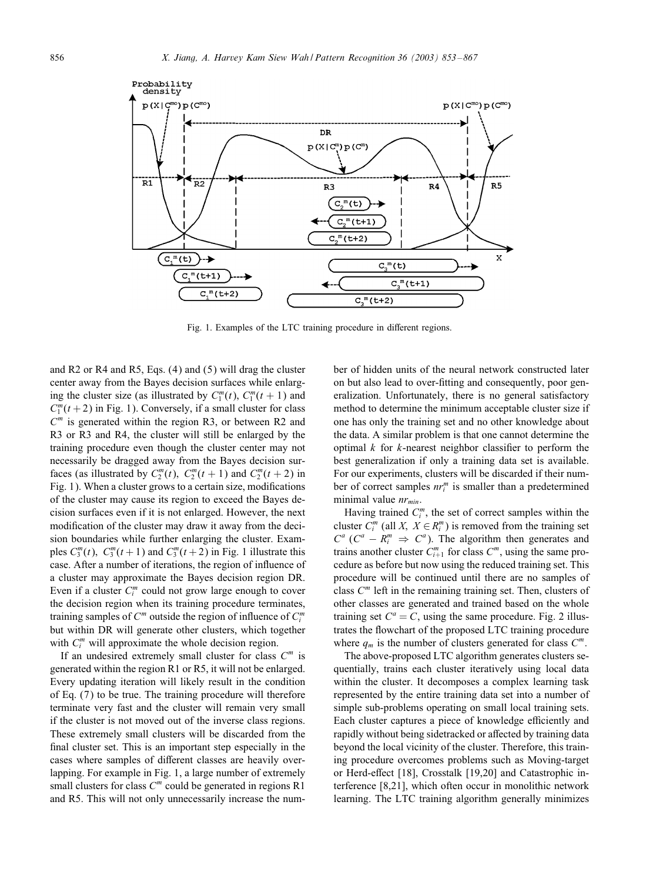

Fig. 1. Examples of the LTC training procedure in different regions.

and R2 or R4 and R5, Eqs.  $(4)$  and  $(5)$  will drag the cluster center away from the Bayes decision surfaces while enlarging the cluster size (as illustrated by  $C_1^m(t)$ ,  $C_1^m(t + 1)$  and  $C_1^m(t+2)$  in Fig. 1). Conversely, if a small cluster for class  $C<sup>m</sup>$  is generated within the region R3, or between R2 and R3 or R3 and R4, the cluster will still be enlarged by the training procedure even though the cluster center may not necessarily be dragged away from the Bayes decision surfaces (as illustrated by  $C_2^m(t)$ ,  $C_2^m(t+1)$  and  $C_2^m(t+2)$  in Fig. 1). When a cluster grows to a certain size, modifications of the cluster may cause its region to exceed the Bayes decision surfaces even if it is not enlarged. However, the next modification of the cluster may draw it away from the decision boundaries while further enlarging the cluster. Examples  $C_3^m(t)$ ,  $C_3^m(t+1)$  and  $C_3^m(t+2)$  in Fig. 1 illustrate this case. After a number of iterations, the region of influence of a cluster may approximate the Bayes decision region DR. Even if a cluster  $C_i^m$  could not grow large enough to cover the decision region when its training procedure terminates, training samples of  $C^m$  outside the region of influence of  $C_i^m$ but within DR will generate other clusters, which together with  $C_i^m$  will approximate the whole decision region.

If an undesired extremely small cluster for class  $C<sup>m</sup>$  is generated within the region R1 or R5, it will not be enlarged. Every updating iteration will likely result in the condition of Eq. (7) to be true. The training procedure will therefore terminate very fast and the cluster will remain very small if the cluster is not moved out of the inverse class regions. These extremely small clusters will be discarded from the final cluster set. This is an important step especially in the cases where samples of different classes are heavily overlapping. For example in Fig. 1, a large number of extremely small clusters for class  $C<sup>m</sup>$  could be generated in regions R1 and R5. This will not only unnecessarily increase the number of hidden units of the neural network constructed later on but also lead to over-fitting and consequently, poor generalization. Unfortunately, there is no general satisfactory method to determine the minimum acceptable cluster size if one has only the training set and no other knowledge about the data. A similar problem is that one cannot determine the optimal  $k$  for  $k$ -nearest neighbor classifier to perform the best generalization if only a training data set is available. For our experiments, clusters will be discarded if their number of correct samples  $nr_i^m$  is smaller than a predetermined minimal value  $nr_{min}$ .

Having trained  $C_i^m$ , the set of correct samples within the cluster  $C_i^m$  (all X,  $X \in R_i^m$ ) is removed from the training set  $C^a$  ( $C^a - R_i^m \Rightarrow C^a$ ). The algorithm then generates and trains another cluster  $C_{i+1}^m$  for class  $C^m$ , using the same procedure as before but now using the reduced training set. This procedure will be continued until there are no samples of class  $C<sup>m</sup>$  left in the remaining training set. Then, clusters of other classes are generated and trained based on the whole training set  $C^a = C$ , using the same procedure. Fig. 2 illustrates the flowchart of the proposed LTC training procedure where  $q_m$  is the number of clusters generated for class  $C^m$ .

The above-proposed LTC algorithm generates clusters sequentially, trains each cluster iteratively using local data within the cluster. It decomposes a complex learning task represented by the entire training data set into a number of simple sub-problems operating on small local training sets. Each cluster captures a piece of knowledge efficiently and rapidly without being sidetracked or affected by training data beyond the local vicinity of the cluster. Therefore, this training procedure overcomes problems such as Moving-target or Herd-effect [18], Crosstalk [19,20] and Catastrophic interference [8,21], which often occur in monolithic network learning. The LTC training algorithm generally minimizes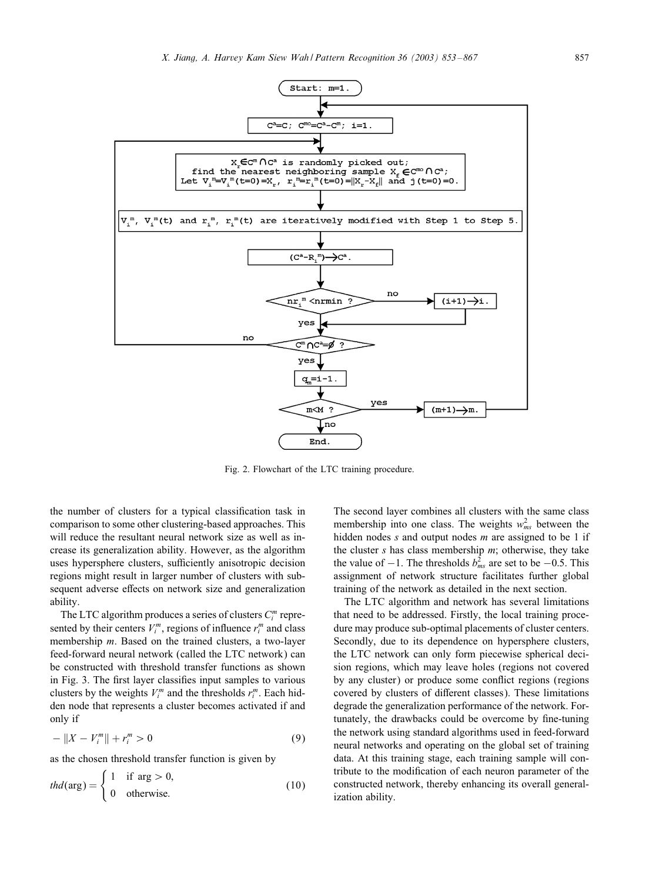

Fig. 2. Flowchart of the LTC training procedure.

the number of clusters for a typical classification task in comparison to some other clustering-basedapproaches. This will reduce the resultant neural network size as well as increase its generalization ability. However, as the algorithm uses hypersphere clusters, sufficiently anisotropic decision regions might result in larger number of clusters with subsequent adverse effects on network size and generalization ability.

The LTC algorithm produces a series of clusters  $C_i^m$  represented by their centers  $V_i^m$ , regions of influence  $r_i^m$  and class membership  $m$ . Based on the trained clusters, a two-layer feed-forward neural network (called the LTC network) can be constructed with threshold transfer functions as shown in Fig. 3. The first layer classifies input samples to various clusters by the weights  $V_i^m$  and the thresholds  $r_i^m$ . Each hidden node that represents a cluster becomes activated if and only if

$$
-\|X - V_i^m\| + r_i^m > 0\tag{9}
$$

as the chosen threshold transfer function is given by

$$
thd(\text{arg}) = \begin{cases} 1 & \text{if } \text{arg} > 0, \\ 0 & \text{otherwise.} \end{cases} \tag{10}
$$

The second layer combines all clusters with the same class membership into one class. The weights  $w_{ms}^2$  between the hidden nodes  $s$  and output nodes  $m$  are assigned to be 1 if the cluster  $s$  has class membership  $m$ ; otherwise, they take the value of  $-1$ . The thresholds  $b_{ms}^2$  are set to be  $-0.5$ . This assignment of network structure facilitates further global training of the network as detailed in the next section.

The LTC algorithm and network has several limitations that need to be addressed. Firstly, the local training procedure may produce sub-optimal placements of cluster centers. Secondly, due to its dependence on hypersphere clusters, the LTC network can only form piecewise spherical decision regions, which may leave holes (regions not covered by any cluster) or produce some conflict regions (regions covered by clusters of different classes). These limitations degrade the generalization performance of the network. Fortunately, the drawbacks could be overcome by fine-tuning the network using standard algorithms used in feed-forward neural networks and operating on the global set of training data. At this training stage, each training sample will contribute to the modification of each neuron parameter of the constructed network, thereby enhancing its overall generalization ability.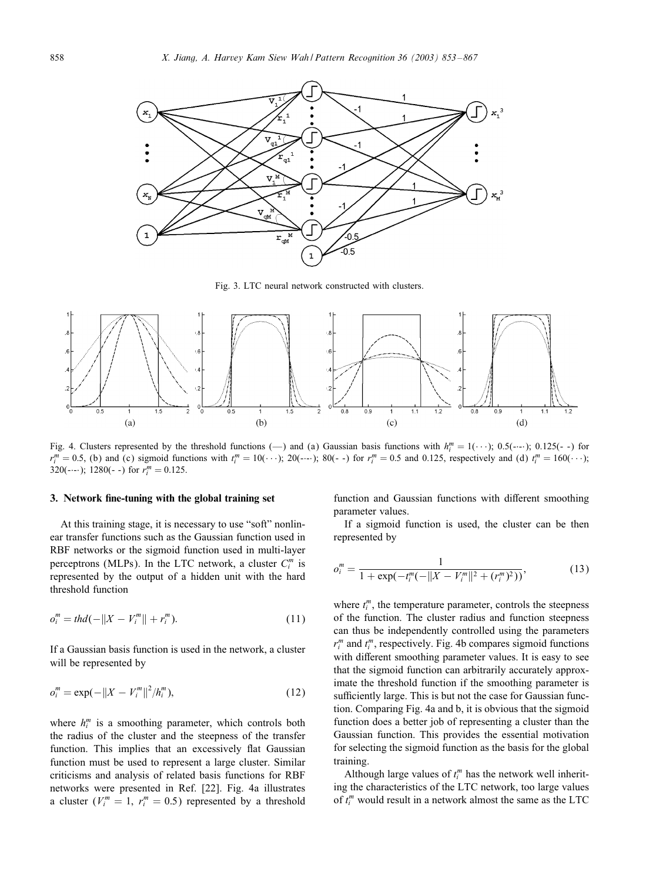

Fig. 3. LTC neural network constructed with clusters.



Fig. 4. Clusters represented by the threshold functions (-) and (a) Gaussian basis functions with  $h_i^m = 1(\cdot \cdot \cdot)$ ; 0.5(- $\cdot \cdot \cdot$ ); 0.125(--) for  $r_i^m = 0.5$ , (b) and (c) sigmoid functions with  $t_i^m = 10(\cdots)$ ; 20(----); 80(--) for  $r_i^m = 0.5$  and 0.125, respectively and (d)  $t_i^m = 160(\cdots)$ ;  $320(\cdots)$ ; 1280(--) for  $r_i^m = 0.125$ .

#### 3. Network fine-tuning with the global training set

At this training stage, it is necessary to use "soft" nonlinear transfer functions such as the Gaussian function usedin RBF networks or the sigmoid function used in multi-layer perceptrons (MLPs). In the LTC network, a cluster  $C_i^m$  is represented by the output of a hidden unit with the hard threshold function

$$
o_i^m = thd(-\|X - V_i^m\| + r_i^m). \tag{11}
$$

If a Gaussian basis function is used in the network, a cluster will be represented by

$$
o_i^m = \exp(-\|X - V_i^m\|^2 / h_i^m),\tag{12}
$$

where  $h_i^m$  is a smoothing parameter, which controls both the radius of the cluster and the steepness of the transfer function. This implies that an excessively flat Gaussian function must be used to represent a large cluster. Similar criticisms and analysis of related basis functions for RBF networks were presented in Ref. [22]. Fig. 4a illustrates a cluster ( $V_i^m = 1$ ,  $r_i^m = 0.5$ ) represented by a threshold

function and Gaussian functions with different smoothing parameter values.

If a sigmoid function is used, the cluster can be then represented by

$$
o_i^m = \frac{1}{1 + \exp(-t_i^m(-||X - V_i^m||^2 + (r_i^m)^2))},
$$
\n(13)

where  $t_i^m$ , the temperature parameter, controls the steepness of the function. The cluster radius and function steepness can thus be independently controlled using the parameters  $r_i^m$  and  $t_i^m$ , respectively. Fig. 4b compares sigmoid functions with different smoothing parameter values. It is easy to see that the sigmoid function can arbitrarily accurately approximate the threshold function if the smoothing parameter is sufficiently large. This is but not the case for Gaussian function. Comparing Fig. 4a and b, it is obvious that the sigmoid function does a better job of representing a cluster than the Gaussian function. This provides the essential motivation for selecting the sigmoid function as the basis for the global training.

Although large values of  $t_i^m$  has the network well inheriting the characteristics of the LTC network, too large values of  $t_i^m$  would result in a network almost the same as the LTC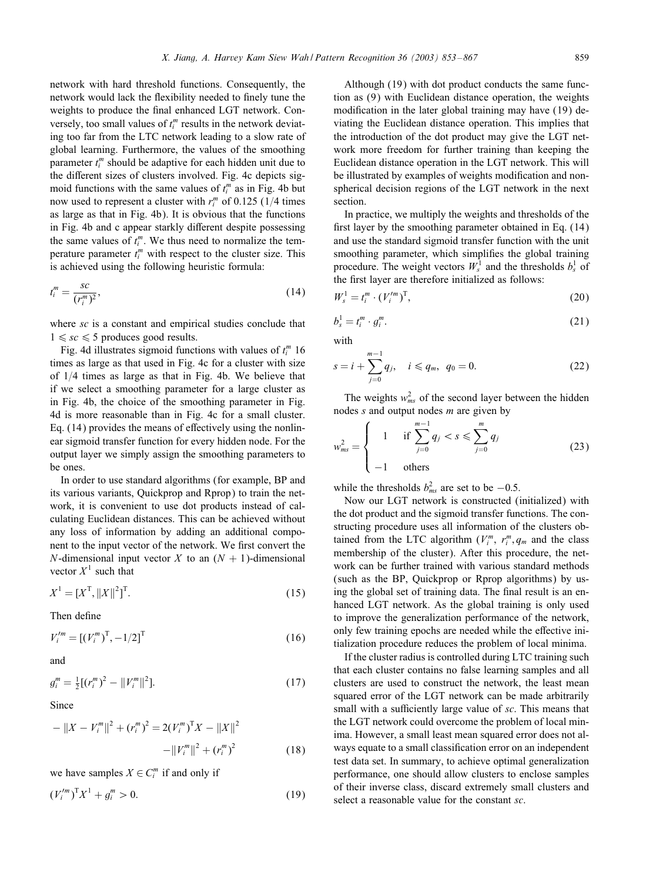network with hard threshold functions. Consequently, the network would lack the flexibility needed to finely tune the weights to produce the final enhanced LGT network. Conversely, too small values of  $t_i^m$  results in the network deviating too far from the LTC network leading to a slow rate of global learning. Furthermore, the values of the smoothing parameter  $t_i^m$  should be adaptive for each hidden unit due to the different sizes of clusters involved. Fig. 4c depicts sigmoid functions with the same values of  $t_i^m$  as in Fig. 4b but now used to represent a cluster with  $r_i^m$  of 0.125 (1/4 times as large as that in Fig. 4b). It is obvious that the functions in Fig. 4b and c appear starkly different despite possessing the same values of  $t_i^m$ . We thus need to normalize the temperature parameter  $t_i^m$  with respect to the cluster size. This is achieved using the following heuristic formula:

$$
t_i^m = \frac{sc}{(r_i^m)^2},\tag{14}
$$

where *sc* is a constant and empirical studies conclude that  $1 \leqslant sc \leqslant 5$  produces good results.

Fig. 4d illustrates sigmoid functions with values of  $t_i^m$  16 times as large as that used in Fig. 4c for a cluster with size of  $1/4$  times as large as that in Fig. 4b. We believe that if we select a smoothing parameter for a large cluster as in Fig. 4b, the choice of the smoothing parameter in Fig. 4dis more reasonable than in Fig. 4c for a small cluster. Eq.  $(14)$  provides the means of effectively using the nonlinear sigmoid transfer function for every hidden node. For the output layer we simply assign the smoothing parameters to be ones.

In order to use standard algorithms (for example, BP and its various variants, Quickprop and Rprop) to train the network, it is convenient to use dot products instead of calculating Euclidean distances. This can be achieved without any loss of information by adding an additional component to the input vector of the network. We first convert the N-dimensional input vector X to an  $(N + 1)$ -dimensional vector  $X^1$  such that

$$
X^1 = [X^T, \|X\|^2]^T.
$$
\n(15)

Then define

$$
V_i^{\prime m} = [(V_i^m)^T, -1/2]^T
$$
\n(16)

and

$$
g_i^m = \frac{1}{2} [(r_i^m)^2 - ||V_i^m||^2]. \tag{17}
$$

Since

$$
- ||X - V_i^m||^2 + (r_i^m)^2 = 2(V_i^m)^T X - ||X||^2
$$
  

$$
- ||V_i^m||^2 + (r_i^m)^2
$$
 (18)

we have samples  $X \in C_i^m$  if and only if

$$
\left(V_i^{'m}\right)^{\mathrm{T}} X^1 + g_i^m > 0. \tag{19}
$$

Although (19) with dot product conducts the same function as (9) with Euclidean distance operation, the weights modification in the later global training may have (19) deviating the Euclidean distance operation. This implies that the introduction of the dot product may give the LGT network more freedom for further training than keeping the Euclidean distance operation in the LGT network. This will be illustrated by examples of weights modification and nonspherical decision regions of the LGT network in the next section.

In practice, we multiply the weights and thresholds of the first layer by the smoothing parameter obtained in Eq.  $(14)$ and use the standard sigmoid transfer function with the unit smoothing parameter, which simplifies the global training procedure. The weight vectors  $W_s^1$  and the thresholds  $b_s^1$  of the first layer are therefore initialized as follows:

$$
W_s^1 = t_i^m \cdot (V_i'^m)^T,
$$
\n(20)

$$
b_s^1 = t_i^m \cdot g_i^m. \tag{21}
$$

with

$$
s = i + \sum_{j=0}^{m-1} q_j, \quad i \leq q_m, \ q_0 = 0.
$$
 (22)

The weights  $w_{ms}^2$  of the second layer between the hidden nodes  $s$  and output nodes  $m$  are given by

$$
w_{ms}^{2} = \begin{cases} 1 & \text{if } \sum_{j=0}^{m-1} q_{j} < s \leqslant \sum_{j=0}^{m} q_{j} \\ -1 & \text{others} \end{cases}
$$
 (23)

while the thresholds  $b_{ms}^2$  are set to be  $-0.5$ .

Now our LGT network is constructed (initialized) with the dot product and the sigmoid transfer functions. The constructing procedure uses all information of the clusters obtained from the LTC algorithm  $(V_i^m, r_i^m, q_m$  and the class membership of the cluster). After this procedure, the network can be further trained with various standard methods (such as the BP, Quickprop or Rprop algorithms) by using the global set of training data. The final result is an enhanced LGT network. As the global training is only used to improve the generalization performance of the network, only few training epochs are needed while the effective initialization procedure reduces the problem of local minima.

If the cluster radius is controlled during LTC training such that each cluster contains no false learning samples andall clusters are used to construct the network, the least mean squared error of the LGT network can be made arbitrarily small with a sufficiently large value of *sc*. This means that the LGT network could overcome the problem of local minima. However, a small least mean squared error does not always equate to a small classification error on an independent test data set. In summary, to achieve optimal generalization performance, one shouldallow clusters to enclose samples of their inverse class, discard extremely small clusters and select a reasonable value for the constant *sc*.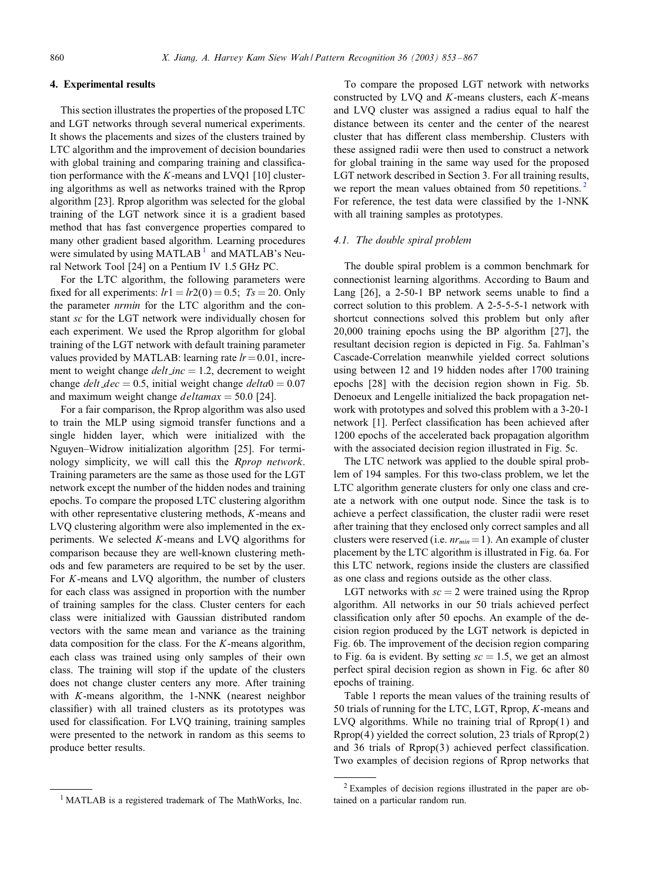## 4. Experimental results

This section illustrates the properties of the proposed LTC and LGT networks through several numerical experiments. It shows the placements and sizes of the clusters trained by LTC algorithm and the improvement of decision boundaries with global training and comparing training and classification performance with the  $K$ -means and LVQ1 [10] clustering algorithms as well as networks trained with the Rprop algorithm [23]. Rprop algorithm was selected for the global training of the LGT network since it is a gradient based method that has fast convergence properties compared to many other gradient based algorithm. Learning procedures were simulated by using  $MATLAB<sup>1</sup>$  and  $MATLAB<sup>3</sup>$ s Neural Network Tool [24] on a Pentium IV 1:5 GHz PC.

For the LTC algorithm, the following parameters were fixed for all experiments:  $lr1 = lr2(0) = 0.5$ ;  $Ts = 20$ . Only the parameter *nrmin* for the LTC algorithm and the constant *sc* for the LGT network were individually chosen for each experiment. We used the Rprop algorithm for global training of the LGT network with default training parameter values provided by MATLAB: learning rate  $lr = 0.01$ , increment to weight change  $delta = 1.2$ , decrement to weight change  $delta$  = 0.5, initial weight change  $delta = 0.07$ and maximum weight change  $delta$  = 50.0 [24].

For a fair comparison, the Rprop algorithm was also used to train the MLP using sigmoid transfer functions and a single hidden layer, which were initialized with the Nguyen–Widrow initialization algorithm [25]. For terminology simplicity, we will call this the *Rprop network*. Training parameters are the same as those used for the LGT network except the number of the hidden nodes and training epochs. To compare the proposedLTC clustering algorithm with other representative clustering methods, K-means and LVQ clustering algorithm were also implemented in the experiments. We selected  $K$ -means and LVQ algorithms for comparison because they are well-known clustering methods and few parameters are required to be set by the user. For  $K$ -means and LVQ algorithm, the number of clusters for each class was assigned in proportion with the number of training samples for the class. Cluster centers for each class were initialized with Gaussian distributed random vectors with the same mean and variance as the training data composition for the class. For the  $K$ -means algorithm, each class was trained using only samples of their own class. The training will stop if the update of the clusters does not change cluster centers any more. After training with K-means algorithm, the 1-NNK (nearest neighbor classifier) with all trained clusters as its prototypes was used for classification. For LVQ training, training samples were presented to the network in random as this seems to produce better results.

 $1$  MATLAB is a registered trademark of The MathWorks, Inc.

To compare the proposed LGT network with networks constructed by LVO and  $K$ -means clusters, each  $K$ -means and LVQ cluster was assigned a radius equal to half the distance between its center and the center of the nearest cluster that has different class membership. Clusters with these assigned radii were then used to construct a network for global training in the same way used for the proposed LGT network described in Section 3. For all training results, we report the mean values obtained from 50 repetitions. For reference, the test data were classified by the 1-NNK with all training samples as prototypes.

#### *4.1. The double spiral problem*

The double spiral problem is a common benchmark for connectionist learning algorithms. According to Baum and Lang  $[26]$ , a 2-50-1 BP network seems unable to find a correct solution to this problem. A 2-5-5-5-1 network with shortcut connections solved this problem but only after 20,000 training epochs using the BP algorithm [27], the resultant decision region is depicted in Fig. 5a. Fahlman's Cascade-Correlation meanwhile yielded correct solutions using between 12 and 19 hidden nodes after 1700 training epochs [28] with the decision region shown in Fig. 5b. Denoeux and Lengelle initialized the back propagation network with prototypes and solved this problem with a 3-20-1 network [1]. Perfect classification has been achieved after 1200 epochs of the accelerated back propagation algorithm with the associated decision region illustrated in Fig. 5c.

The LTC network was applied to the double spiral problem of 194 samples. For this two-class problem, we let the LTC algorithm generate clusters for only one class and create a network with one output node. Since the task is to achieve a perfect classification, the cluster radii were reset after training that they enclosedonly correct samples andall clusters were reserved (i.e.  $nr_{min}=1$ ). An example of cluster placement by the LTC algorithm is illustratedin Fig. 6a. For this LTC network, regions inside the clusters are classified as one class and regions outside as the other class.

LGT networks with  $sc = 2$  were trained using the Rprop algorithm. All networks in our 50 trials achieved perfect classification only after 50 epochs. An example of the decision region produced by the LGT network is depicted in Fig. 6b. The improvement of the decision region comparing to Fig. 6a is evident. By setting  $sc = 1.5$ , we get an almost perfect spiral decision region as shown in Fig. 6c after 80 epochs of training.

Table 1 reports the mean values of the training results of 50 trials of running for the LTC, LGT, Rprop, K-means and LVQ algorithms. While no training trial of Rprop(1) and Rprop(4) yielded the correct solution, 23 trials of Rprop(2) and 36 trials of  $Rprop(3)$  achieved perfect classification. Two examples of decision regions of Rprop networks that

<sup>2</sup> Examples of decision regions illustrated in the paper are obtained on a particular random run.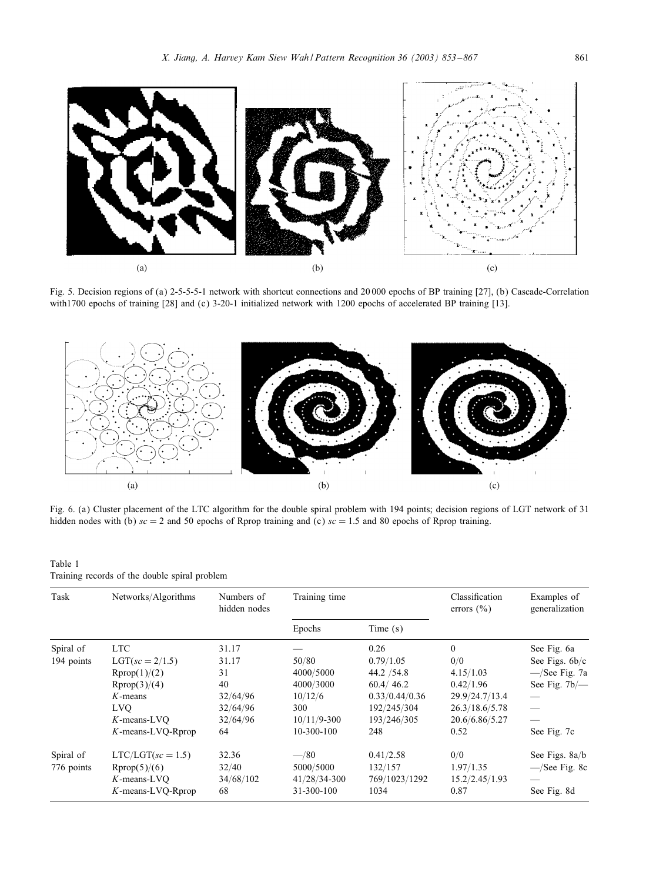

Fig. 5. Decision regions of (a) 2-5-5-5-1 network with shortcut connections and20 000 epochs of BP training [27], (b) Cascade-Correlation with1700 epochs of training [28] and (c) 3-20-1 initialized network with 1200 epochs of accelerated BP training [13].



Fig. 6. (a) Cluster placement of the LTC algorithm for the double spiral problem with 194 points; decision regions of LGT network of 31 hidden nodes with (b)  $sc = 2$  and 50 epochs of Rprop training and (c)  $sc = 1.5$  and 80 epochs of Rprop training.

Table 1 Training records of the double spiral problem

| Task       | Networks/Algorithms  | Numbers of<br>hidden nodes | Training time   |                | Classification<br>errors $(\% )$ | Examples of<br>generalization |  |
|------------|----------------------|----------------------------|-----------------|----------------|----------------------------------|-------------------------------|--|
|            |                      |                            | Epochs          | Time $(s)$     |                                  |                               |  |
| Spiral of  | <b>LTC</b>           | 31.17                      |                 | 0.26           | $\Omega$                         | See Fig. 6a                   |  |
| 194 points | $LGT$ (sc = 2/1.5)   | 31.17                      | 50/80           | 0.79/1.05      | 0/0                              | See Figs. $6b/c$              |  |
|            | Rprop(1)/(2)         | 31                         | 4000/5000       | 44.2 / 54.8    | 4.15/1.03                        | $-\beta$ ee Fig. 7a           |  |
|            | Rprop(3)/(4)         | 40                         | 4000/3000       | 60.4/46.2      | 0.42/1.96                        | See Fig. $7b$ —               |  |
|            | $K$ -means           | 32/64/96                   | 10/12/6         | 0.33/0.44/0.36 | 29.9/24.7/13.4                   |                               |  |
|            | LVO                  | 32/64/96                   | 300             | 192/245/304    | 26.3/18.6/5.78                   |                               |  |
|            | $K$ -means-LVO       | 32/64/96                   | $10/11/9 - 300$ | 193/246/305    | 20.6/6.86/5.27                   |                               |  |
|            | $K$ -means-LVQ-Rprop | 64                         | $10-300-100$    | 248            | 0.52                             | See Fig. 7c                   |  |
| Spiral of  | $LTC/LGT$ (sc = 1.5) | 32.36                      | $-\frac{80}{3}$ | 0.41/2.58      | 0/0                              | See Figs. 8a/b                |  |
| 776 points | Rprop(5)/(6)         | 32/40                      | 5000/5000       | 132/157        | 1.97/1.35                        | $-\beta$ see Fig. 8c          |  |
|            | $K$ -means-LVQ       | 34/68/102                  | 41/28/34-300    | 769/1023/1292  | 15.2/2.45/1.93                   |                               |  |
|            | $K$ -means-LVQ-Rprop | 68                         | 31-300-100      | 1034           | 0.87                             | See Fig. 8d                   |  |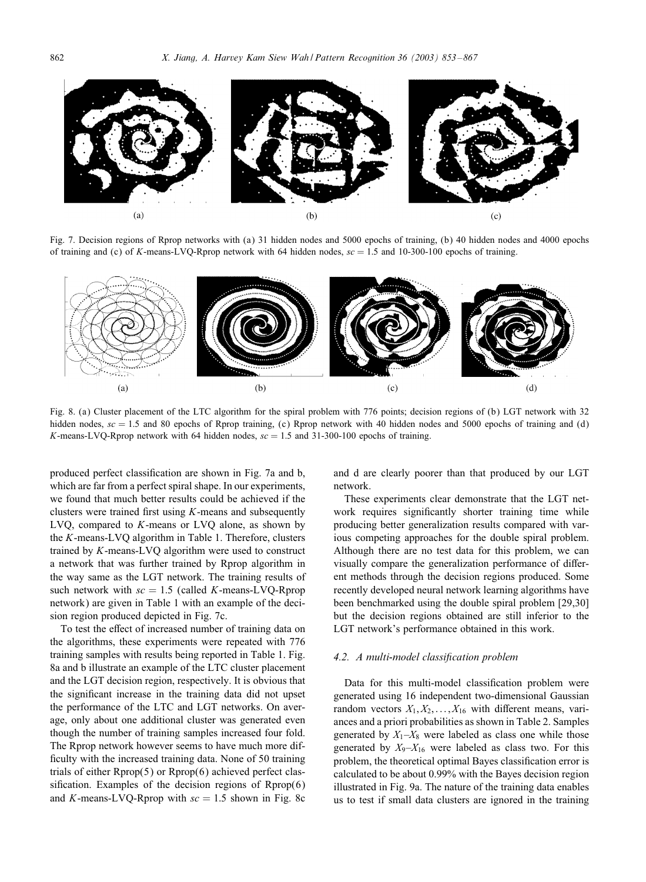

Fig. 7. Decision regions of Rprop networks with (a) 31 hidden nodes and 5000 epochs of training, (b) 40 hidden nodes and 4000 epochs of training and (c) of K-means-LVQ-Rprop network with 64 hidden nodes,  $sc = 1.5$  and 10-300-100 epochs of training.



Fig. 8. (a) Cluster placement of the LTC algorithm for the spiral problem with 776 points; decision regions of (b) LGT network with 32 hidden nodes,  $sc = 1.5$  and 80 epochs of Rprop training, (c) Rprop network with 40 hidden nodes and 5000 epochs of training and (d) K-means-LVQ-Rprop network with 64 hidden nodes,  $sc = 1.5$  and 31-300-100 epochs of training.

produced perfect classification are shown in Fig. 7a and b, which are far from a perfect spiral shape. In our experiments, we found that much better results could be achieved if the clusters were trained first using  $K$ -means and subsequently LVQ, compared to  $K$ -means or LVQ alone, as shown by the K-means-LVQ algorithm in Table 1. Therefore, clusters trained by  $K$ -means-LVQ algorithm were used to construct a network that was further trained by Rprop algorithm in the way same as the LGT network. The training results of such network with  $sc = 1.5$  (called K-means-LVQ-Rprop network) are given in Table 1 with an example of the decision region produced depicted in Fig. 7c.

To test the effect of increased number of training data on the algorithms, these experiments were repeated with 776 training samples with results being reported in Table 1. Fig. 8a and b illustrate an example of the LTC cluster placement and the LGT decision region, respectively. It is obvious that the significant increase in the training data did not upset the performance of the LTC and LGT networks. On average, only about one additional cluster was generated even though the number of training samples increased four fold. The Rprop network however seems to have much more dif ficulty with the increased training data. None of 50 training trials of either  $Rprop(5)$  or  $Rprop(6)$  achieved perfect classification. Examples of the decision regions of  $Rprop(6)$ and K-means-LVQ-Rprop with  $sc = 1.5$  shown in Fig. 8c

and d are clearly poorer than that produced by our LGT network.

These experiments clear demonstrate that the LGT network requires significantly shorter training time while producing better generalization results compared with various competing approaches for the double spiral problem. Although there are no test data for this problem, we can visually compare the generalization performance of different methods through the decision regions produced. Some recently developed neural network learning algorithms have been benchmarked using the double spiral problem [29,30] but the decision regions obtained are still inferior to the LGT network's performance obtained in this work.

## 4.2. A multi-model classification problem

Data for this multi-model classification problem were generated using 16 independent two-dimensional Gaussian random vectors  $X_1, X_2, \ldots, X_{16}$  with different means, variances anda priori probabilities as shown in Table 2. Samples generated by  $X_1-X_8$  were labeled as class one while those generated by  $X_9-X_{16}$  were labeled as class two. For this problem, the theoretical optimal Bayes classification error is calculated to be about 0.99% with the Bayes decision region illustrated in Fig. 9a. The nature of the training data enables us to test if small data clusters are ignored in the training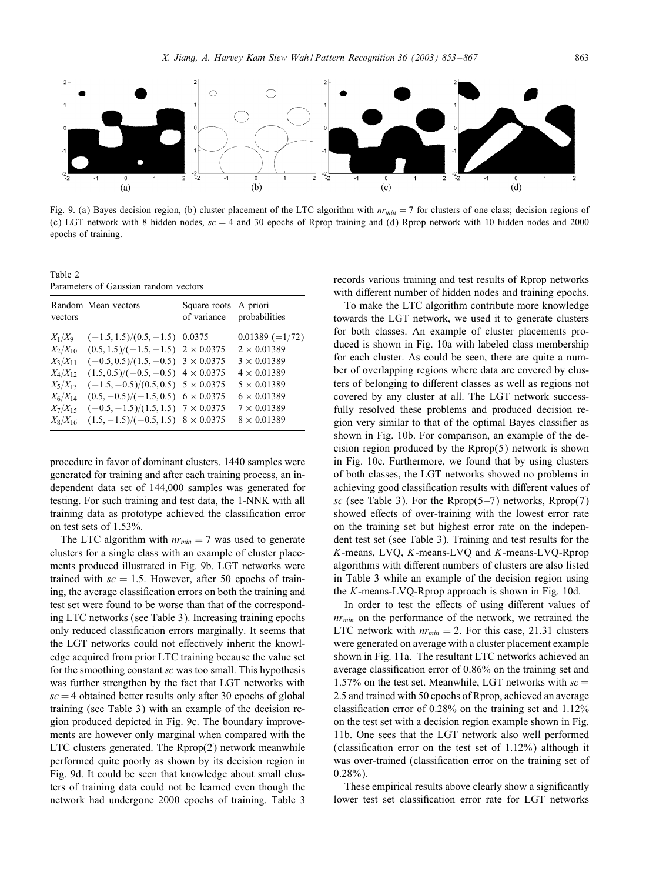



Fig. 9. (a) Bayes decision region, (b) cluster placement of the LTC algorithm with  $n_{min} = 7$  for clusters of one class; decision regions of (c) LGT network with 8 hidden nodes,  $sc = 4$  and 30 epochs of Rprop training and (d) Rprop network with 10 hidden nodes and 2000 epochs of training.

Table 2 Parameters of Gaussian random vectors

| vectors      | Random Mean vectors                  | Square roots A priori<br>of variance | probabilities      |
|--------------|--------------------------------------|--------------------------------------|--------------------|
| $X_1/X_9$    | $(-1.5, 1.5)/(0.5, -1.5)$ 0.0375     |                                      | $0.01389 (=1/72)$  |
| $X_2/X_{10}$ | $(0.5, 1.5)/(-1.5, -1.5)$ 2 × 0.0375 |                                      | $2 \times 0.01389$ |
| $X_3/X_{11}$ | $(-0.5, 0.5)/(1.5, -0.5)$ 3 × 0.0375 |                                      | $3 \times 0.01389$ |
| $X_4/X_1$    | $(1.5, 0.5)/(-0.5, -0.5)$ 4 × 0.0375 |                                      | $4 \times 0.01389$ |
| $X_5/X_{13}$ | $(-1.5, -0.5)/(0.5, 0.5)$ 5 × 0.0375 |                                      | $5 \times 0.01389$ |
| $X_6/X_{14}$ | $(0.5, -0.5)/(-1.5, 0.5)$ 6 × 0.0375 |                                      | $6 \times 0.01389$ |
| $X_7/X_{15}$ | $(-0.5, -1.5)/(1.5, 1.5)$ 7 × 0.0375 |                                      | $7 \times 0.01389$ |
| $X_8/X_{16}$ | $(1.5, -1.5)/(-0.5, 1.5)$ 8 × 0.0375 |                                      | $8 \times 0.01389$ |

procedure in favor of dominant clusters. 1440 samples were generated for training and after each training process, an independent data set of 144,000 samples was generated for testing. For such training and test data, the 1-NNK with all training data as prototype achieved the classification error on test sets of 1.53%.

The LTC algorithm with  $nr_{min} = 7$  was used to generate clusters for a single class with an example of cluster placements produced illustrated in Fig. 9b. LGT networks were trained with  $sc = 1.5$ . However, after 50 epochs of training, the average classification errors on both the training and test set were found to be worse than that of the corresponding LTC networks (see Table 3). Increasing training epochs only reduced classification errors marginally. It seems that the LGT networks could not effectively inherit the knowledge acquired from prior LTC training because the value set for the smoothing constant *sc* was too small. This hypothesis was further strengthen by the fact that LGT networks with  $sc = 4$  obtained better results only after 30 epochs of global training (see Table 3) with an example of the decision region produced depicted in Fig. 9c. The boundary improvements are however only marginal when compared with the LTC clusters generated. The Rprop(2) network meanwhile performed quite poorly as shown by its decision region in Fig. 9d. It could be seen that knowledge about small clusters of training data could not be learned even though the network had undergone 2000 epochs of training. Table 3 records various training and test results of Rprop networks with different number of hidden nodes and training epochs.

To make the LTC algorithm contribute more knowledge towards the LGT network, we used it to generate clusters for both classes. An example of cluster placements produced is shown in Fig. 10a with labeled class membership for each cluster. As could be seen, there are quite a number of overlapping regions where data are covered by clusters of belonging to different classes as well as regions not covered by any cluster at all. The LGT network successfully resolved these problems and produced decision region very similar to that of the optimal Bayes classifier as shown in Fig. 10b. For comparison, an example of the decision region produced by the Rprop(5) network is shown in Fig. 10c. Furthermore, we found that by using clusters of both classes, the LGT networks showed no problems in achieving good classification results with different values of *sc* (see Table 3). For the Rprop(5–7) networks, Rprop(7) showed effects of over-training with the lowest error rate on the training set but highest error rate on the independent test set (see Table 3). Training and test results for the K-means, LVQ, K-means-LVQ and K-means-LVQ-Rprop algorithms with different numbers of clusters are also listed in Table 3 while an example of the decision region using the  $K$ -means-LVQ-Rprop approach is shown in Fig. 10d.

In order to test the effects of using different values of  $nr_{min}$  on the performance of the network, we retrained the LTC network with  $nr_{min} = 2$ . For this case, 21.31 clusters were generated on average with a cluster placement example shown in Fig. 11a. The resultant LTC networks achieved an average classification error of 0.86% on the training set and 1.57% on the test set. Meanwhile, LGT networks with  $sc =$ 2.5 and trained with 50 epochs of Rprop, achieved an average classification error of  $0.28\%$  on the training set and  $1.12\%$ on the test set with a decision region example shown in Fig. 11b. One sees that the LGT network also well performed (classification error on the test set of  $1.12\%$ ) although it was over-trained (classification error on the training set of  $0.28\%$ ).

These empirical results above clearly show a significantly lower test set classification error rate for LGT networks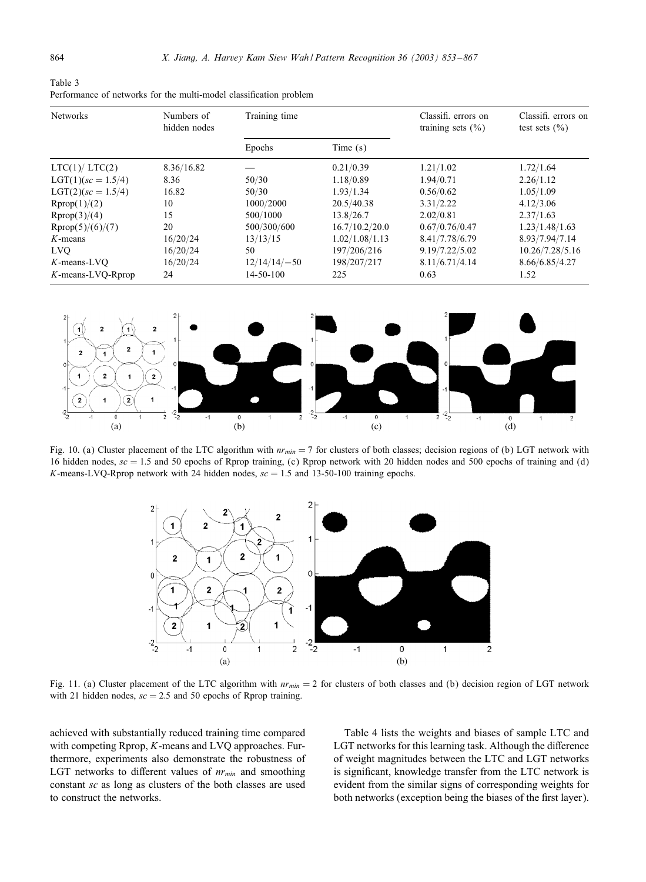| Table 3                                                            |  |  |
|--------------------------------------------------------------------|--|--|
| Performance of networks for the multi-model classification problem |  |  |

| <b>Networks</b>      | Numbers of<br>hidden nodes | Training time   |                | Classifi. errors on<br>training sets $(\% )$ | Classifi. errors on<br>test sets $(\% )$ |  |
|----------------------|----------------------------|-----------------|----------------|----------------------------------------------|------------------------------------------|--|
|                      |                            | Epochs          | Time $(s)$     |                                              |                                          |  |
| LTC(1)/LTC(2)        | 8.36/16.82                 |                 | 0.21/0.39      | 1.21/1.02                                    | 1.72/1.64                                |  |
| $LGT(1)(sc = 1.5/4)$ | 8.36                       | 50/30           | 1.18/0.89      | 1.94/0.71                                    | 2.26/1.12                                |  |
| $LGT(2)(sc = 1.5/4)$ | 16.82                      | 50/30           | 1.93/1.34      | 0.56/0.62                                    | 1.05/1.09                                |  |
| Rprop(1)/(2)         | 10                         | 1000/2000       | 20.5/40.38     | 3.31/2.22                                    | 4.12/3.06                                |  |
| Rprop(3)/(4)         | 15                         | 500/1000        | 13.8/26.7      | 2.02/0.81                                    | 2.37/1.63                                |  |
| Rprop(5)/(6)/(7)     | 20                         | 500/300/600     | 16.7/10.2/20.0 | 0.67/0.76/0.47                               | 1.23/1.48/1.63                           |  |
| $K$ -means           | 16/20/24                   | 13/13/15        | 1.02/1.08/1.13 | 8.41/7.78/6.79                               | 8.93/7.94/7.14                           |  |
| <b>LVO</b>           | 16/20/24                   | 50              | 197/206/216    | 9.19/7.22/5.02                               | 10.26/7.28/5.16                          |  |
| $K$ -means-LVQ       | 16/20/24                   | $12/14/14/-50$  | 198/207/217    | 8.11/6.71/4.14                               | 8.66/6.85/4.27                           |  |
| $K$ -means-LVQ-Rprop | 24                         | $14 - 50 - 100$ | 225            | 0.63                                         | 1.52                                     |  |



Fig. 10. (a) Cluster placement of the LTC algorithm with  $n r_{min} = 7$  for clusters of both classes; decision regions of (b) LGT network with 16 hidden nodes,  $sc = 1.5$  and 50 epochs of Rprop training, (c) Rprop network with 20 hidden nodes and 500 epochs of training and (d) K-means-LVQ-Rprop network with 24 hidden nodes,  $sc = 1.5$  and 13-50-100 training epochs.



Fig. 11. (a) Cluster placement of the LTC algorithm with  $nr_{min} = 2$  for clusters of both classes and (b) decision region of LGT network with 21 hidden nodes,  $sc = 2.5$  and 50 epochs of Rprop training.

achieved with substantially reduced training time compared with competing Rprop,  $K$ -means and LVQ approaches. Furthermore, experiments also demonstrate the robustness of LGT networks to different values of  $nr_{min}$  and smoothing constant *sc* as long as clusters of the both classes are used to construct the networks.

Table 4 lists the weights andbiases of sample LTC and LGT networks for this learning task. Although the difference of weight magnitudes between the LTC and LGT networks is significant, knowledge transfer from the LTC network is evident from the similar signs of corresponding weights for both networks (exception being the biases of the first layer).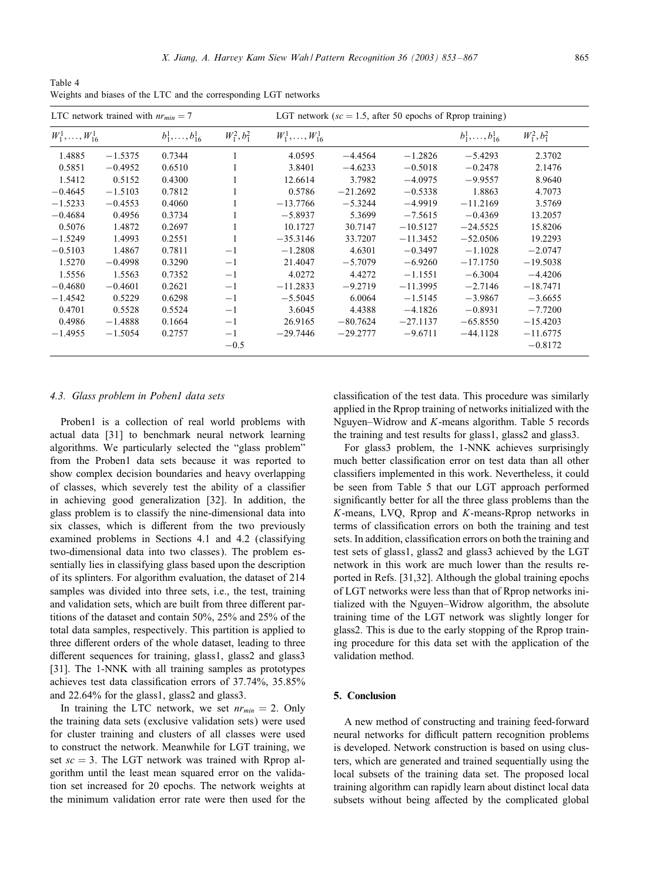Table 4 Weights and biases of the LTC and the corresponding LGT networks

|                           | LTC network trained with $nr_{min} = 7$ |                           |                |                           |            | LGT network ( $sc = 1.5$ , after 50 epochs of Rprop training) |                           |                |  |  |  |  |
|---------------------------|-----------------------------------------|---------------------------|----------------|---------------------------|------------|---------------------------------------------------------------|---------------------------|----------------|--|--|--|--|
| $W_1^1, \ldots, W_{16}^1$ |                                         | $b_1^1, \ldots, b_{16}^1$ | $W_1^2, b_1^2$ | $W_1^1, \ldots, W_{16}^1$ |            |                                                               | $b_1^1, \ldots, b_{16}^1$ | $W_1^2, b_1^2$ |  |  |  |  |
| 1.4885                    | $-1.5375$                               | 0.7344                    |                | 4.0595                    | $-4.4564$  | $-1.2826$                                                     | $-5.4293$                 | 2.3702         |  |  |  |  |
| 0.5851                    | $-0.4952$                               | 0.6510                    |                | 3.8401                    | $-4.6233$  | $-0.5018$                                                     | $-0.2478$                 | 2.1476         |  |  |  |  |
| 1.5412                    | 0.5152                                  | 0.4300                    |                | 12.6614                   | 3.7982     | $-4.0975$                                                     | $-9.9557$                 | 8.9640         |  |  |  |  |
| $-0.4645$                 | $-1.5103$                               | 0.7812                    |                | 0.5786                    | $-21.2692$ | $-0.5338$                                                     | 1.8863                    | 4.7073         |  |  |  |  |
| $-1.5233$                 | $-0.4553$                               | 0.4060                    |                | $-13.7766$                | $-5.3244$  | $-4.9919$                                                     | $-11.2169$                | 3.5769         |  |  |  |  |
| $-0.4684$                 | 0.4956                                  | 0.3734                    |                | $-5.8937$                 | 5.3699     | $-7.5615$                                                     | $-0.4369$                 | 13.2057        |  |  |  |  |
| 0.5076                    | 1.4872                                  | 0.2697                    |                | 10.1727                   | 30.7147    | $-10.5127$                                                    | $-24.5525$                | 15.8206        |  |  |  |  |
| $-1.5249$                 | 1.4993                                  | 0.2551                    |                | $-35.3146$                | 33.7207    | $-11.3452$                                                    | $-52.0506$                | 19.2293        |  |  |  |  |
| $-0.5103$                 | 1.4867                                  | 0.7811                    | $-1$           | $-1.2808$                 | 4.6301     | $-0.3497$                                                     | $-1.1028$                 | $-2.0747$      |  |  |  |  |
| 1.5270                    | $-0.4998$                               | 0.3290                    | $-1$           | 21.4047                   | $-5.7079$  | $-6.9260$                                                     | $-17.1750$                | $-19.5038$     |  |  |  |  |
| 1.5556                    | 1.5563                                  | 0.7352                    | $-1$           | 4.0272                    | 4.4272     | $-1.1551$                                                     | $-6.3004$                 | $-4.4206$      |  |  |  |  |
| $-0.4680$                 | $-0.4601$                               | 0.2621                    | $-1$           | $-11.2833$                | $-9.2719$  | $-11.3995$                                                    | $-2.7146$                 | $-18.7471$     |  |  |  |  |
| $-1.4542$                 | 0.5229                                  | 0.6298                    | $-1$           | $-5.5045$                 | 6.0064     | $-1.5145$                                                     | $-3.9867$                 | $-3.6655$      |  |  |  |  |
| 0.4701                    | 0.5528                                  | 0.5524                    | $-1$           | 3.6045                    | 4.4388     | $-4.1826$                                                     | $-0.8931$                 | $-7.7200$      |  |  |  |  |
| 0.4986                    | $-1.4888$                               | 0.1664                    | $-1$           | 26.9165                   | $-80.7624$ | $-27.1137$                                                    | $-65.8550$                | $-15.4203$     |  |  |  |  |
| $-1.4955$                 | $-1.5054$                               | 0.2757                    | $-1$           | $-29.7446$                | $-29.2777$ | $-9.6711$                                                     | $-44.1128$                | $-11.6775$     |  |  |  |  |
|                           |                                         |                           | $-0.5$         |                           |            |                                                               |                           | $-0.8172$      |  |  |  |  |

#### *4.3. Glass problem in Poben1 data sets*

Proben1 is a collection of real world problems with actual data [31] to benchmark neural network learning algorithms. We particularly selected the "glass problem" from the Proben1 data sets because it was reported to show complex decision boundaries and heavy overlapping of classes, which severely test the ability of a classifier in achieving good generalization [32]. In addition, the glass problem is to classify the nine-dimensional data into six classes, which is different from the two previously examined problems in Sections 4.1 and 4.2 (classifying two-dimensional data into two classes). The problem essentially lies in classifying glass based upon the description of its splinters. For algorithm evaluation, the dataset of 214 samples was divided into three sets, i.e., the test, training and validation sets, which are built from three different partitions of the dataset and contain  $50\%$ ,  $25\%$  and  $25\%$  of the total data samples, respectively. This partition is applied to three different orders of the whole dataset, leading to three different sequences for training, glass1, glass2 and glass3 [31]. The 1-NNK with all training samples as prototypes achieves test data classification errors of  $37.74\%$ ,  $35.85\%$ and 22.64% for the glass1, glass2 and glass3.

In training the LTC network, we set  $nr_{min} = 2$ . Only the training data sets (exclusive validation sets) were used for cluster training and clusters of all classes were used to construct the network. Meanwhile for LGT training, we set  $sc = 3$ . The LGT network was trained with Rprop algorithm until the least mean squared error on the validation set increased for 20 epochs. The network weights at the minimum validation error rate were then used for the classification of the test data. This procedure was similarly applied in the Rprop training of networks initialized with the Nguyen–Widrow and K-means algorithm. Table 5 records the training and test results for glass1, glass2 and glass3.

For glass3 problem, the 1-NNK achieves surprisingly much better classification error on test data than all other classifiers implemented in this work. Nevertheless, it could be seen from Table 5 that our LGT approach performed significantly better for all the three glass problems than the K-means, LVQ, Rprop and K-means-Rprop networks in terms of classification errors on both the training and test sets. In addition, classification errors on both the training and test sets of glass1, glass2 and glass3 achieved by the LGT network in this work are much lower than the results reported in Refs. [31,32]. Although the global training epochs of LGT networks were less than that of Rprop networks initialized with the Nguyen–Widrow algorithm, the absolute training time of the LGT network was slightly longer for glass2. This is due to the early stopping of the Rprop training procedure for this data set with the application of the validation method.

#### 5. Conclusion

A new method of constructing and training feed-forward neural networks for difficult pattern recognition problems is developed. Network construction is based on using clusters, which are generated and trained sequentially using the local subsets of the training data set. The proposed local training algorithm can rapidly learn about distinct local data subsets without being affected by the complicated global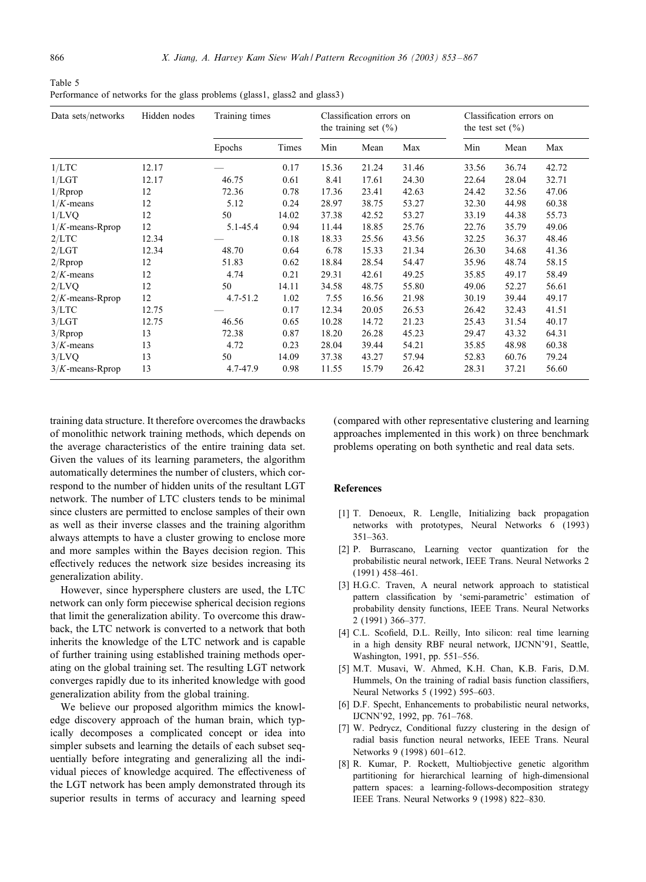| Table 5                                                                    |  |  |  |  |
|----------------------------------------------------------------------------|--|--|--|--|
| Performance of networks for the glass problems (glass1, glass2 and glass3) |  |  |  |  |

| Data sets/networks | Hidden nodes | Training times |       | Classification errors on<br>the training set $(\% )$ |       |       | Classification errors on<br>the test set $(\% )$ |       |       |
|--------------------|--------------|----------------|-------|------------------------------------------------------|-------|-------|--------------------------------------------------|-------|-------|
|                    |              | Epochs         | Times | Min                                                  | Mean  | Max   | Min                                              | Mean  | Max   |
| 1/LTC              | 12.17        |                | 0.17  | 15.36                                                | 21.24 | 31.46 | 33.56                                            | 36.74 | 42.72 |
| 1/LGT              | 12.17        | 46.75          | 0.61  | 8.41                                                 | 17.61 | 24.30 | 22.64                                            | 28.04 | 32.71 |
| $1/R$ prop         | 12           | 72.36          | 0.78  | 17.36                                                | 23.41 | 42.63 | 24.42                                            | 32.56 | 47.06 |
| $1/K$ -means       | 12           | 5.12           | 0.24  | 28.97                                                | 38.75 | 53.27 | 32.30                                            | 44.98 | 60.38 |
| 1/LVO              | 12           | 50             | 14.02 | 37.38                                                | 42.52 | 53.27 | 33.19                                            | 44.38 | 55.73 |
| $1/K$ -means-Rprop | 12           | 5.1-45.4       | 0.94  | 11.44                                                | 18.85 | 25.76 | 22.76                                            | 35.79 | 49.06 |
| 2/LTC              | 12.34        |                | 0.18  | 18.33                                                | 25.56 | 43.56 | 32.25                                            | 36.37 | 48.46 |
| 2/LGT              | 12.34        | 48.70          | 0.64  | 6.78                                                 | 15.33 | 21.34 | 26.30                                            | 34.68 | 41.36 |
| $2/R$ prop         | 12           | 51.83          | 0.62  | 18.84                                                | 28.54 | 54.47 | 35.96                                            | 48.74 | 58.15 |
| $2/K$ -means       | 12           | 4.74           | 0.21  | 29.31                                                | 42.61 | 49.25 | 35.85                                            | 49.17 | 58.49 |
| 2/LVQ              | 12           | 50             | 14.11 | 34.58                                                | 48.75 | 55.80 | 49.06                                            | 52.27 | 56.61 |
| $2/K$ -means-Rprop | 12           | $4.7 - 51.2$   | 1.02  | 7.55                                                 | 16.56 | 21.98 | 30.19                                            | 39.44 | 49.17 |
| 3/LTC              | 12.75        |                | 0.17  | 12.34                                                | 20.05 | 26.53 | 26.42                                            | 32.43 | 41.51 |
| 3/LGT              | 12.75        | 46.56          | 0.65  | 10.28                                                | 14.72 | 21.23 | 25.43                                            | 31.54 | 40.17 |
| $3/R$ prop         | 13           | 72.38          | 0.87  | 18.20                                                | 26.28 | 45.23 | 29.47                                            | 43.32 | 64.31 |
| $3/K$ -means       | 13           | 4.72           | 0.23  | 28.04                                                | 39.44 | 54.21 | 35.85                                            | 48.98 | 60.38 |
| 3/LVO              | 13           | 50             | 14.09 | 37.38                                                | 43.27 | 57.94 | 52.83                                            | 60.76 | 79.24 |
| $3/K$ -means-Rprop | 13           | 4.7-47.9       | 0.98  | 11.55                                                | 15.79 | 26.42 | 28.31                                            | 37.21 | 56.60 |

training data structure. It therefore overcomes the drawbacks of monolithic network training methods, which depends on the average characteristics of the entire training data set. Given the values of its learning parameters, the algorithm automatically determines the number of clusters, which correspond to the number of hidden units of the resultant LGT network. The number of LTC clusters tends to be minimal since clusters are permitted to enclose samples of their own as well as their inverse classes and the training algorithm always attempts to have a cluster growing to enclose more and more samples within the Bayes decision region. This effectively reduces the network size besides increasing its generalization ability.

However, since hypersphere clusters are used, the LTC network can only form piecewise spherical decision regions that limit the generalization ability. To overcome this drawback, the LTC network is converted to a network that both inherits the knowledge of the LTC network and is capable of further training using established training methods operating on the global training set. The resulting LGT network converges rapidly due to its inherited knowledge with good generalization ability from the global training.

We believe our proposed algorithm mimics the knowledge discovery approach of the human brain, which typically decomposes a complicated concept or idea into simpler subsets and learning the details of each subset sequentially before integrating and generalizing all the individual pieces of knowledge acquired. The effectiveness of the LGT network has been amply demonstrated through its superior results in terms of accuracy and learning speed

(compared with other representative clustering and learning approaches implemented in this work) on three benchmark problems operating on both synthetic and real data sets.

#### **References**

- [1] T. Denoeux, R. Lenglle, Initializing back propagation networks with prototypes, Neural Networks 6 (1993) 351–363.
- [2] P. Burrascano, Learning vector quantization for the probabilistic neural network, IEEE Trans. Neural Networks 2 (1991) 458–461.
- [3] H.G.C. Traven, A neural network approach to statistical pattern classification by 'semi-parametric' estimation of probability density functions, IEEE Trans. Neural Networks 2 (1991) 366–377.
- [4] C.L. Scofield, D.L. Reilly, Into silicon: real time learning in a high density RBF neural network, IJCNN'91, Seattle, Washington, 1991, pp. 551–556.
- [5] M.T. Musavi, W. Ahmed, K.H. Chan, K.B. Faris, D.M. Hummels, On the training of radial basis function classifiers, Neural Networks 5 (1992) 595–603.
- [6] D.F. Specht, Enhancements to probabilistic neural networks, IJCNN'92, 1992, pp. 761–768.
- [7] W. Pedrycz, Conditional fuzzy clustering in the design of radial basis function neural networks, IEEE Trans. Neural Networks 9 (1998) 601–612.
- [8] R. Kumar, P. Rockett, Multiobjective genetic algorithm partitioning for hierarchical learning of high-dimensional pattern spaces: a learning-follows-decomposition strategy IEEE Trans. Neural Networks 9 (1998) 822–830.